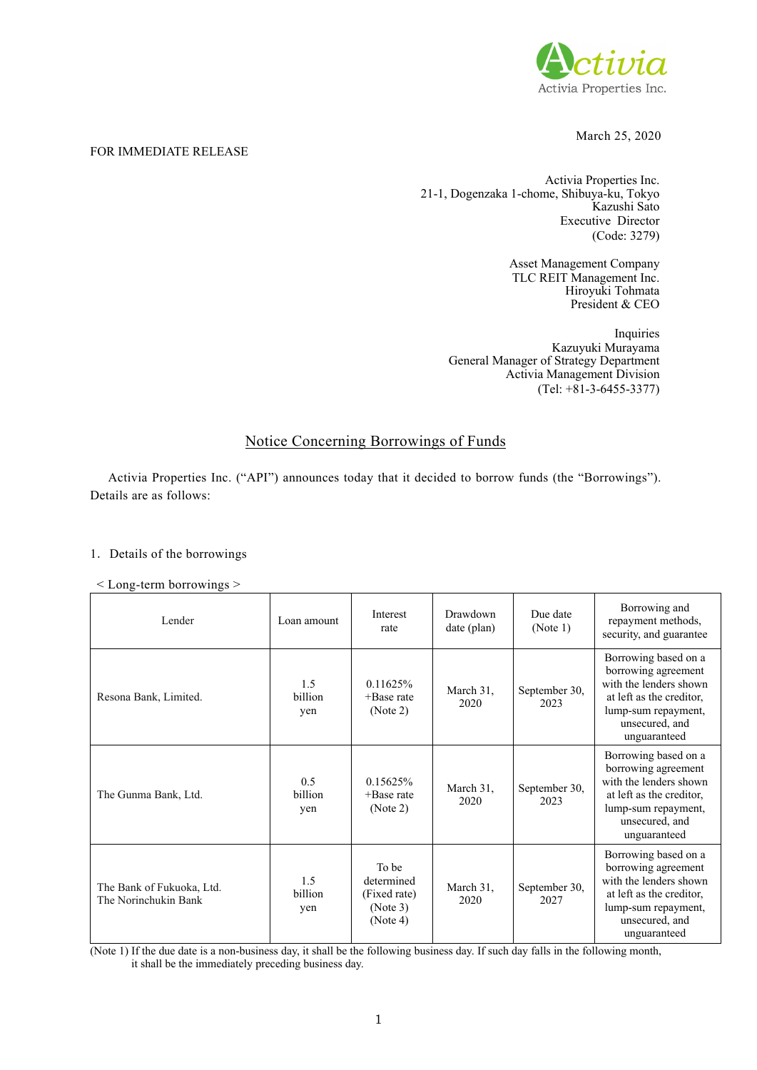

## March 25, 2020

### FOR IMMEDIATE RELEASE

Activia Properties Inc. 21-1, Dogenzaka 1-chome, Shibuya-ku, Tokyo Kazushi Sato Executive Director (Code: 3279)

> Asset Management Company TLC REIT Management Inc. Hiroyuki Tohmata President & CEO

Inquiries Kazuyuki Murayama General Manager of Strategy Department Activia Management Division (Tel: +81-3-6455-3377)

# Notice Concerning Borrowings of Funds

Activia Properties Inc. ("API") announces today that it decided to borrow funds (the "Borrowings"). Details are as follows:

### 1.Details of the borrowings

< Long-term borrowings >

| Lender                                            | Loan amount                  | Interest<br>rate                                            | Drawdown<br>date (plan) | Due date<br>(Note 1)  | Borrowing and<br>repayment methods,<br>security, and guarantee                                                                                             |
|---------------------------------------------------|------------------------------|-------------------------------------------------------------|-------------------------|-----------------------|------------------------------------------------------------------------------------------------------------------------------------------------------------|
| Resona Bank, Limited.                             | 1.5<br>billion<br>yen        | 0.11625%<br>$+$ Base rate<br>(Note 2)                       | March 31,<br>2020       | September 30,<br>2023 | Borrowing based on a<br>borrowing agreement<br>with the lenders shown<br>at left as the creditor,<br>lump-sum repayment,<br>unsecured, and<br>unguaranteed |
| The Gunma Bank, Ltd.                              | 0.5<br><b>billion</b><br>yen | 0.15625%<br>$+$ Base rate<br>(Note 2)                       | March 31,<br>2020       | September 30,<br>2023 | Borrowing based on a<br>borrowing agreement<br>with the lenders shown<br>at left as the creditor,<br>lump-sum repayment,<br>unsecured, and<br>unguaranteed |
| The Bank of Fukuoka, Ltd.<br>The Norinchukin Bank | 1.5<br>billion<br>yen        | To be<br>determined<br>(Fixed rate)<br>(Note 3)<br>(Note 4) | March 31,<br>2020       | September 30,<br>2027 | Borrowing based on a<br>borrowing agreement<br>with the lenders shown<br>at left as the creditor,<br>lump-sum repayment,<br>unsecured, and<br>unguaranteed |

(Note 1) If the due date is a non-business day, it shall be the following business day. If such day falls in the following month, it shall be the immediately preceding business day.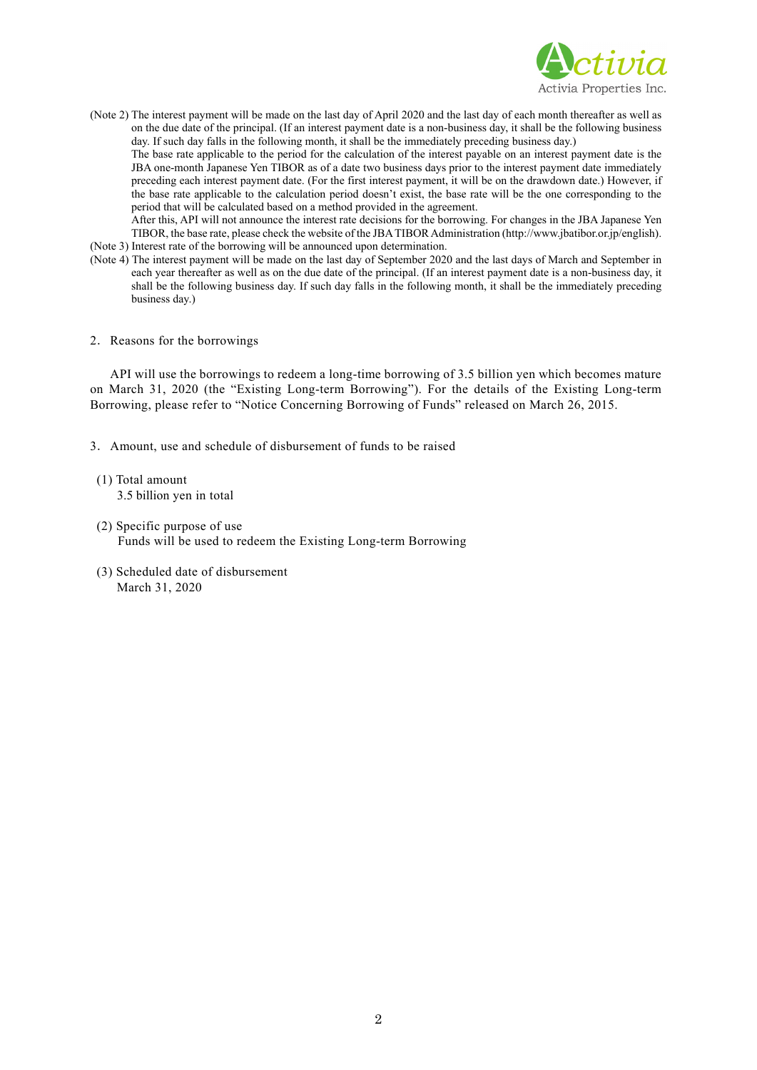

(Note 2) The interest payment will be made on the last day of April 2020 and the last day of each month thereafter as well as on the due date of the principal. (If an interest payment date is a non-business day, it shall be the following business day. If such day falls in the following month, it shall be the immediately preceding business day.)

 The base rate applicable to the period for the calculation of the interest payable on an interest payment date is the JBA one-month Japanese Yen TIBOR as of a date two business days prior to the interest payment date immediately preceding each interest payment date. (For the first interest payment, it will be on the drawdown date.) However, if the base rate applicable to the calculation period doesn't exist, the base rate will be the one corresponding to the period that will be calculated based on a method provided in the agreement.

After this, API will not announce the interest rate decisions for the borrowing. For changes in the JBA Japanese Yen TIBOR, the base rate, please check the website of the JBA TIBOR Administration (http://www.jbatibor.or.jp/english). (Note 3) Interest rate of the borrowing will be announced upon determination.

- (Note 4) The interest payment will be made on the last day of September 2020 and the last days of March and September in each year thereafter as well as on the due date of the principal. (If an interest payment date is a non-business day, it shall be the following business day. If such day falls in the following month, it shall be the immediately preceding business day.)
- 2.Reasons for the borrowings

API will use the borrowings to redeem a long-time borrowing of 3.5 billion yen which becomes mature on March 31, 2020 (the "Existing Long-term Borrowing"). For the details of the Existing Long-term Borrowing, please refer to "Notice Concerning Borrowing of Funds" released on March 26, 2015.

- 3.Amount, use and schedule of disbursement of funds to be raised
- (1) Total amount 3.5 billion yen in total
- (2) Specific purpose of use Funds will be used to redeem the Existing Long-term Borrowing
- (3) Scheduled date of disbursement March 31, 2020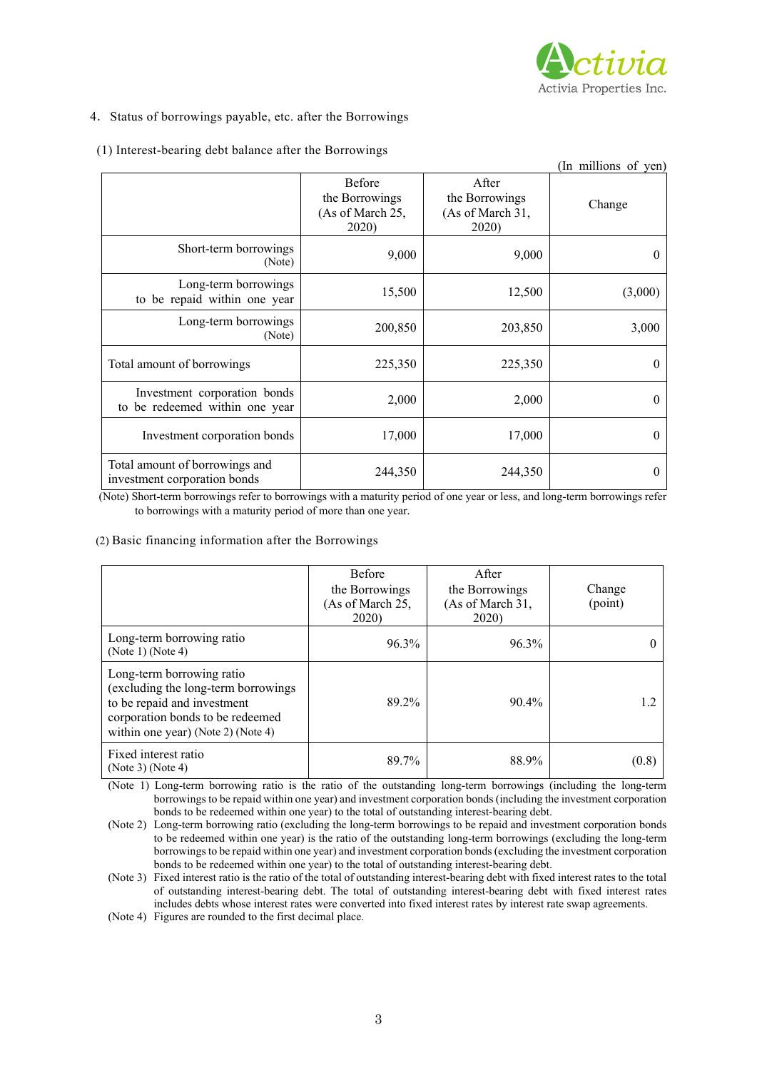

### 4. Status of borrowings payable, etc. after the Borrowings

|  |  | (1) Interest-bearing debt balance after the Borrowings |  |
|--|--|--------------------------------------------------------|--|
|--|--|--------------------------------------------------------|--|

|                                                                |                                                       |                                                      | (In millions of yen) |
|----------------------------------------------------------------|-------------------------------------------------------|------------------------------------------------------|----------------------|
|                                                                | Before<br>the Borrowings<br>(As of March 25,<br>2020) | After<br>the Borrowings<br>(As of March 31,<br>2020) | Change               |
| Short-term borrowings<br>(Note)                                | 9,000                                                 | 9,000                                                | 0                    |
| Long-term borrowings<br>to be repaid within one year           | 15,500                                                | 12,500                                               | (3,000)              |
| Long-term borrowings<br>(Note)                                 | 200,850                                               | 203,850                                              | 3,000                |
| Total amount of borrowings                                     | 225,350                                               | 225,350                                              | 0                    |
| Investment corporation bonds<br>to be redeemed within one year | 2,000                                                 | 2,000                                                | 0                    |
| Investment corporation bonds                                   | 17,000                                                | 17,000                                               | 0                    |
| Total amount of borrowings and<br>investment corporation bonds | 244,350                                               | 244,350                                              | 0                    |

(Note) Short-term borrowings refer to borrowings with a maturity period of one year or less, and long-term borrowings refer to borrowings with a maturity period of more than one year.

#### (2) Basic financing information after the Borrowings

|                                                                                                                                                                           | <b>Before</b><br>the Borrowings<br>(As of March 25,<br>2020) | <b>A</b> fter<br>the Borrowings<br>(As of March 31,<br>2020) | Change<br>(point) |
|---------------------------------------------------------------------------------------------------------------------------------------------------------------------------|--------------------------------------------------------------|--------------------------------------------------------------|-------------------|
| Long-term borrowing ratio<br>(Note 1) (Note 4)                                                                                                                            | 96.3%                                                        | 96.3%                                                        |                   |
| Long-term borrowing ratio<br>(excluding the long-term borrowings<br>to be repaid and investment<br>corporation bonds to be redeemed<br>within one year) (Note 2) (Note 4) | 89.2%                                                        | $90.4\%$                                                     | 1.2               |
| Fixed interest ratio<br>(Note 3) (Note 4)                                                                                                                                 | 89.7%                                                        | 88.9%                                                        | (0.8)             |

(Note 1) Long-term borrowing ratio is the ratio of the outstanding long-term borrowings (including the long-term borrowings to be repaid within one year) and investment corporation bonds (including the investment corporation bonds to be redeemed within one year) to the total of outstanding interest-bearing debt.

(Note 2) Long-term borrowing ratio (excluding the long-term borrowings to be repaid and investment corporation bonds to be redeemed within one year) is the ratio of the outstanding long-term borrowings (excluding the long-term borrowings to be repaid within one year) and investment corporation bonds (excluding the investment corporation bonds to be redeemed within one year) to the total of outstanding interest-bearing debt.

(Note 3) Fixed interest ratio is the ratio of the total of outstanding interest-bearing debt with fixed interest rates to the total of outstanding interest-bearing debt. The total of outstanding interest-bearing debt with fixed interest rates includes debts whose interest rates were converted into fixed interest rates by interest rate swap agreements.

(Note 4) Figures are rounded to the first decimal place.